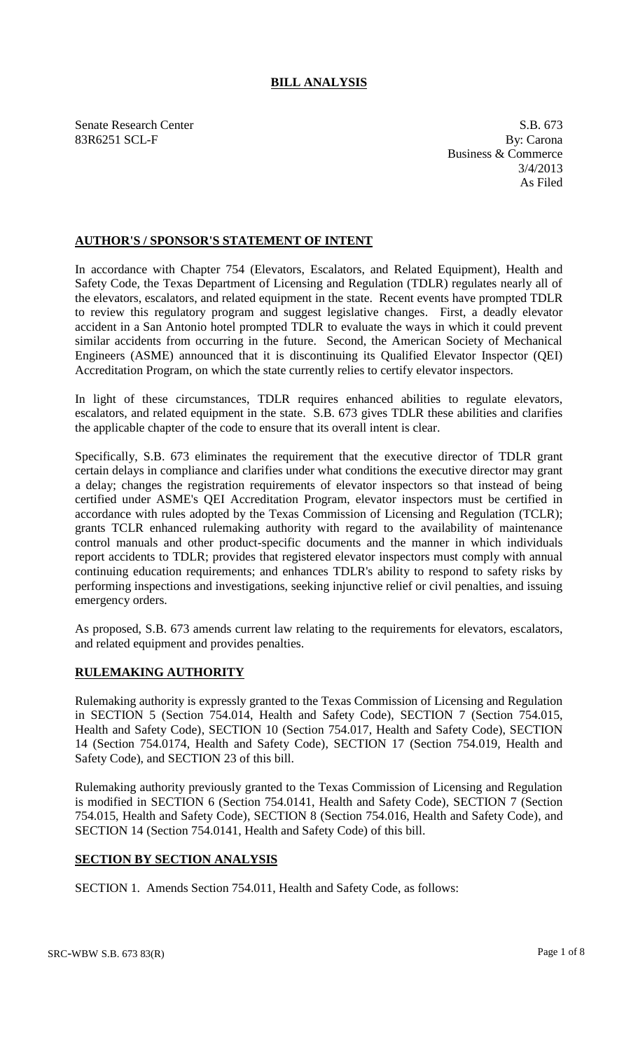## **BILL ANALYSIS**

Senate Research Center S.B. 673 83R6251 SCL-F By: Carona

Business & Commerce 3/4/2013 As Filed

## **AUTHOR'S / SPONSOR'S STATEMENT OF INTENT**

In accordance with Chapter 754 (Elevators, Escalators, and Related Equipment), Health and Safety Code, the Texas Department of Licensing and Regulation (TDLR) regulates nearly all of the elevators, escalators, and related equipment in the state. Recent events have prompted TDLR to review this regulatory program and suggest legislative changes. First, a deadly elevator accident in a San Antonio hotel prompted TDLR to evaluate the ways in which it could prevent similar accidents from occurring in the future. Second, the American Society of Mechanical Engineers (ASME) announced that it is discontinuing its Qualified Elevator Inspector (QEI) Accreditation Program, on which the state currently relies to certify elevator inspectors.

In light of these circumstances, TDLR requires enhanced abilities to regulate elevators, escalators, and related equipment in the state. S.B. 673 gives TDLR these abilities and clarifies the applicable chapter of the code to ensure that its overall intent is clear.

Specifically, S.B. 673 eliminates the requirement that the executive director of TDLR grant certain delays in compliance and clarifies under what conditions the executive director may grant a delay; changes the registration requirements of elevator inspectors so that instead of being certified under ASME's QEI Accreditation Program, elevator inspectors must be certified in accordance with rules adopted by the Texas Commission of Licensing and Regulation (TCLR); grants TCLR enhanced rulemaking authority with regard to the availability of maintenance control manuals and other product-specific documents and the manner in which individuals report accidents to TDLR; provides that registered elevator inspectors must comply with annual continuing education requirements; and enhances TDLR's ability to respond to safety risks by performing inspections and investigations, seeking injunctive relief or civil penalties, and issuing emergency orders.

As proposed, S.B. 673 amends current law relating to the requirements for elevators, escalators, and related equipment and provides penalties.

## **RULEMAKING AUTHORITY**

Rulemaking authority is expressly granted to the Texas Commission of Licensing and Regulation in SECTION 5 (Section 754.014, Health and Safety Code), SECTION 7 (Section 754.015, Health and Safety Code), SECTION 10 (Section 754.017, Health and Safety Code), SECTION 14 (Section 754.0174, Health and Safety Code), SECTION 17 (Section 754.019, Health and Safety Code), and SECTION 23 of this bill.

Rulemaking authority previously granted to the Texas Commission of Licensing and Regulation is modified in SECTION 6 (Section 754.0141, Health and Safety Code), SECTION 7 (Section 754.015, Health and Safety Code), SECTION 8 (Section 754.016, Health and Safety Code), and SECTION 14 (Section 754.0141, Health and Safety Code) of this bill.

## **SECTION BY SECTION ANALYSIS**

SECTION 1. Amends Section 754.011, Health and Safety Code, as follows: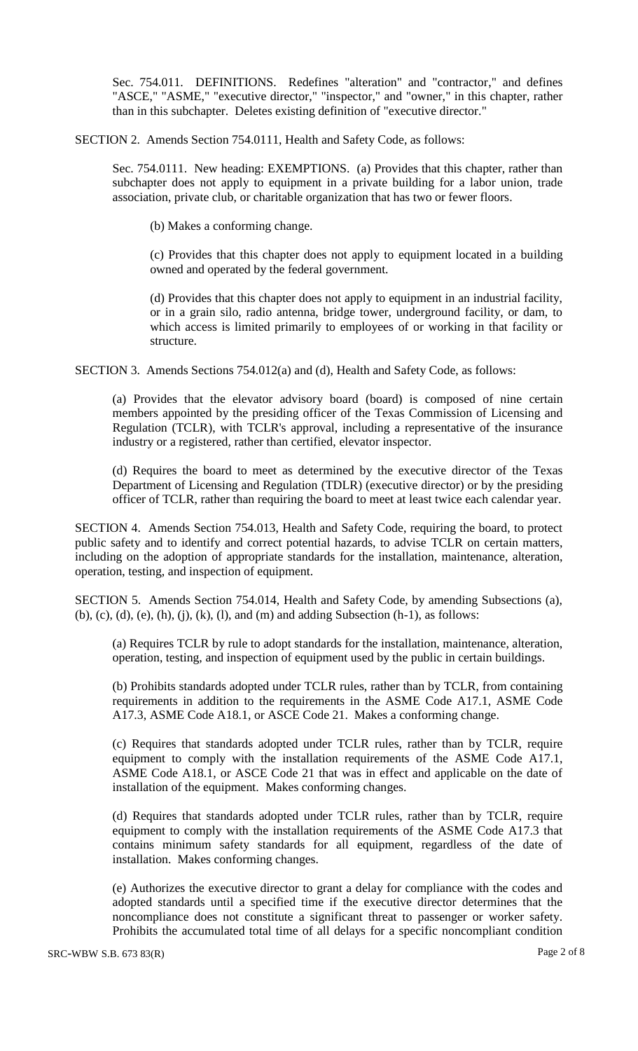Sec. 754.011. DEFINITIONS. Redefines "alteration" and "contractor," and defines "ASCE," "ASME," "executive director," "inspector," and "owner," in this chapter, rather than in this subchapter. Deletes existing definition of "executive director."

SECTION 2. Amends Section 754.0111, Health and Safety Code, as follows:

Sec. 754.0111. New heading: EXEMPTIONS. (a) Provides that this chapter, rather than subchapter does not apply to equipment in a private building for a labor union, trade association, private club, or charitable organization that has two or fewer floors.

(b) Makes a conforming change.

(c) Provides that this chapter does not apply to equipment located in a building owned and operated by the federal government.

(d) Provides that this chapter does not apply to equipment in an industrial facility, or in a grain silo, radio antenna, bridge tower, underground facility, or dam, to which access is limited primarily to employees of or working in that facility or structure.

SECTION 3. Amends Sections 754.012(a) and (d), Health and Safety Code, as follows:

(a) Provides that the elevator advisory board (board) is composed of nine certain members appointed by the presiding officer of the Texas Commission of Licensing and Regulation (TCLR), with TCLR's approval, including a representative of the insurance industry or a registered, rather than certified, elevator inspector.

(d) Requires the board to meet as determined by the executive director of the Texas Department of Licensing and Regulation (TDLR) (executive director) or by the presiding officer of TCLR, rather than requiring the board to meet at least twice each calendar year.

SECTION 4. Amends Section 754.013, Health and Safety Code, requiring the board, to protect public safety and to identify and correct potential hazards, to advise TCLR on certain matters, including on the adoption of appropriate standards for the installation, maintenance, alteration, operation, testing, and inspection of equipment.

SECTION 5. Amends Section 754.014, Health and Safety Code, by amending Subsections (a), (b), (c), (d), (e), (h), (j), (k), (l), and (m) and adding Subsection (h-1), as follows:

(a) Requires TCLR by rule to adopt standards for the installation, maintenance, alteration, operation, testing, and inspection of equipment used by the public in certain buildings.

(b) Prohibits standards adopted under TCLR rules, rather than by TCLR, from containing requirements in addition to the requirements in the ASME Code A17.1, ASME Code A17.3, ASME Code A18.1, or ASCE Code 21. Makes a conforming change.

(c) Requires that standards adopted under TCLR rules, rather than by TCLR, require equipment to comply with the installation requirements of the ASME Code A17.1, ASME Code A18.1, or ASCE Code 21 that was in effect and applicable on the date of installation of the equipment. Makes conforming changes.

(d) Requires that standards adopted under TCLR rules, rather than by TCLR, require equipment to comply with the installation requirements of the ASME Code A17.3 that contains minimum safety standards for all equipment, regardless of the date of installation. Makes conforming changes.

(e) Authorizes the executive director to grant a delay for compliance with the codes and adopted standards until a specified time if the executive director determines that the noncompliance does not constitute a significant threat to passenger or worker safety. Prohibits the accumulated total time of all delays for a specific noncompliant condition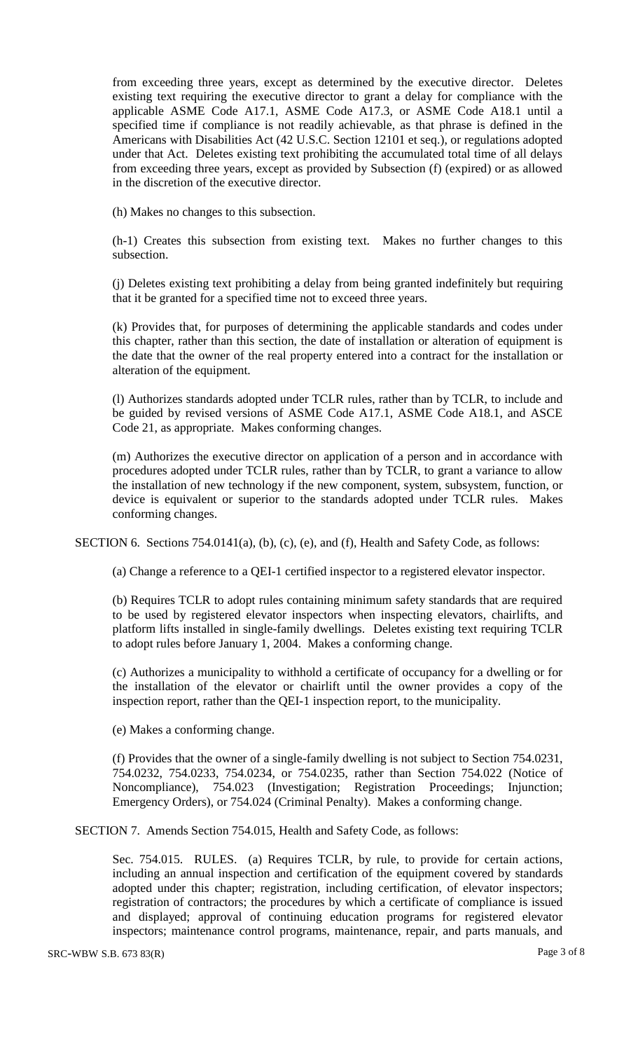from exceeding three years, except as determined by the executive director. Deletes existing text requiring the executive director to grant a delay for compliance with the applicable ASME Code A17.1, ASME Code A17.3, or ASME Code A18.1 until a specified time if compliance is not readily achievable, as that phrase is defined in the Americans with Disabilities Act (42 U.S.C. Section 12101 et seq.), or regulations adopted under that Act. Deletes existing text prohibiting the accumulated total time of all delays from exceeding three years, except as provided by Subsection (f) (expired) or as allowed in the discretion of the executive director.

(h) Makes no changes to this subsection.

(h-1) Creates this subsection from existing text. Makes no further changes to this subsection.

(j) Deletes existing text prohibiting a delay from being granted indefinitely but requiring that it be granted for a specified time not to exceed three years.

(k) Provides that, for purposes of determining the applicable standards and codes under this chapter, rather than this section, the date of installation or alteration of equipment is the date that the owner of the real property entered into a contract for the installation or alteration of the equipment.

(l) Authorizes standards adopted under TCLR rules, rather than by TCLR, to include and be guided by revised versions of ASME Code A17.1, ASME Code A18.1, and ASCE Code 21, as appropriate. Makes conforming changes.

(m) Authorizes the executive director on application of a person and in accordance with procedures adopted under TCLR rules, rather than by TCLR, to grant a variance to allow the installation of new technology if the new component, system, subsystem, function, or device is equivalent or superior to the standards adopted under TCLR rules. Makes conforming changes.

SECTION 6. Sections 754.0141(a), (b), (c), (e), and (f), Health and Safety Code, as follows:

(a) Change a reference to a QEI-1 certified inspector to a registered elevator inspector.

(b) Requires TCLR to adopt rules containing minimum safety standards that are required to be used by registered elevator inspectors when inspecting elevators, chairlifts, and platform lifts installed in single-family dwellings. Deletes existing text requiring TCLR to adopt rules before January 1, 2004. Makes a conforming change.

(c) Authorizes a municipality to withhold a certificate of occupancy for a dwelling or for the installation of the elevator or chairlift until the owner provides a copy of the inspection report, rather than the QEI-1 inspection report, to the municipality.

(e) Makes a conforming change.

(f) Provides that the owner of a single-family dwelling is not subject to Section 754.0231, 754.0232, 754.0233, 754.0234, or 754.0235, rather than Section 754.022 (Notice of Noncompliance), 754.023 (Investigation; Registration Proceedings; Injunction; Emergency Orders), or 754.024 (Criminal Penalty). Makes a conforming change.

SECTION 7. Amends Section 754.015, Health and Safety Code, as follows:

Sec. 754.015. RULES. (a) Requires TCLR, by rule, to provide for certain actions, including an annual inspection and certification of the equipment covered by standards adopted under this chapter; registration, including certification, of elevator inspectors; registration of contractors; the procedures by which a certificate of compliance is issued and displayed; approval of continuing education programs for registered elevator inspectors; maintenance control programs, maintenance, repair, and parts manuals, and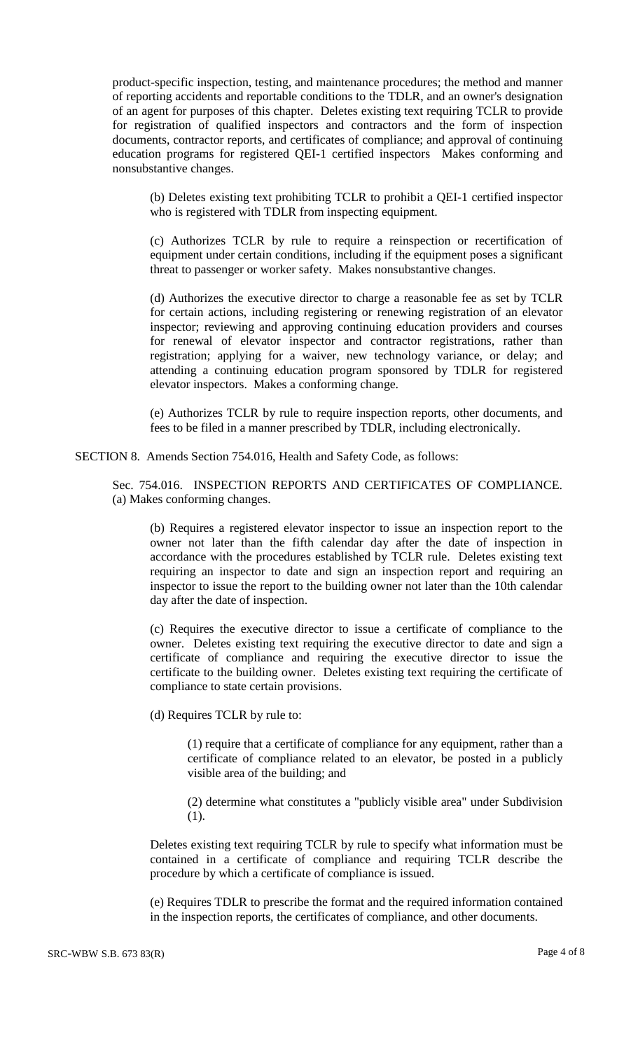product-specific inspection, testing, and maintenance procedures; the method and manner of reporting accidents and reportable conditions to the TDLR, and an owner's designation of an agent for purposes of this chapter. Deletes existing text requiring TCLR to provide for registration of qualified inspectors and contractors and the form of inspection documents, contractor reports, and certificates of compliance; and approval of continuing education programs for registered QEI-1 certified inspectors Makes conforming and nonsubstantive changes.

(b) Deletes existing text prohibiting TCLR to prohibit a QEI-1 certified inspector who is registered with TDLR from inspecting equipment.

(c) Authorizes TCLR by rule to require a reinspection or recertification of equipment under certain conditions, including if the equipment poses a significant threat to passenger or worker safety. Makes nonsubstantive changes.

(d) Authorizes the executive director to charge a reasonable fee as set by TCLR for certain actions, including registering or renewing registration of an elevator inspector; reviewing and approving continuing education providers and courses for renewal of elevator inspector and contractor registrations, rather than registration; applying for a waiver, new technology variance, or delay; and attending a continuing education program sponsored by TDLR for registered elevator inspectors. Makes a conforming change.

(e) Authorizes TCLR by rule to require inspection reports, other documents, and fees to be filed in a manner prescribed by TDLR, including electronically.

SECTION 8. Amends Section 754.016, Health and Safety Code, as follows:

Sec. 754.016. INSPECTION REPORTS AND CERTIFICATES OF COMPLIANCE. (a) Makes conforming changes.

(b) Requires a registered elevator inspector to issue an inspection report to the owner not later than the fifth calendar day after the date of inspection in accordance with the procedures established by TCLR rule. Deletes existing text requiring an inspector to date and sign an inspection report and requiring an inspector to issue the report to the building owner not later than the 10th calendar day after the date of inspection.

(c) Requires the executive director to issue a certificate of compliance to the owner. Deletes existing text requiring the executive director to date and sign a certificate of compliance and requiring the executive director to issue the certificate to the building owner. Deletes existing text requiring the certificate of compliance to state certain provisions.

(d) Requires TCLR by rule to:

(1) require that a certificate of compliance for any equipment, rather than a certificate of compliance related to an elevator, be posted in a publicly visible area of the building; and

(2) determine what constitutes a "publicly visible area" under Subdivision (1).

Deletes existing text requiring TCLR by rule to specify what information must be contained in a certificate of compliance and requiring TCLR describe the procedure by which a certificate of compliance is issued.

(e) Requires TDLR to prescribe the format and the required information contained in the inspection reports, the certificates of compliance, and other documents.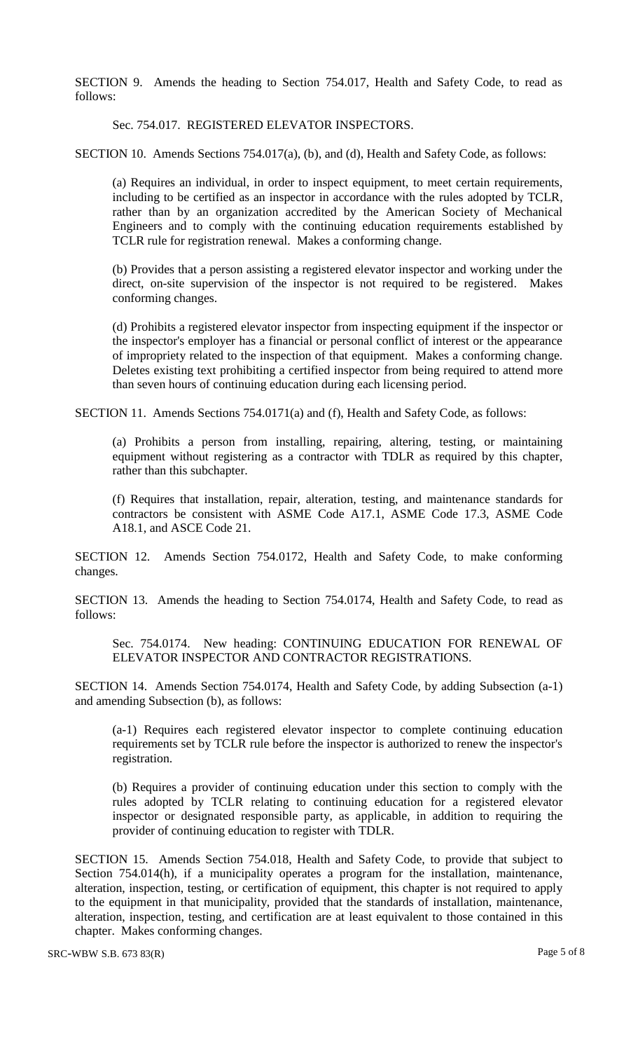SECTION 9. Amends the heading to Section 754.017, Health and Safety Code, to read as follows:

Sec. 754.017. REGISTERED ELEVATOR INSPECTORS.

SECTION 10. Amends Sections 754.017(a), (b), and (d), Health and Safety Code, as follows:

(a) Requires an individual, in order to inspect equipment, to meet certain requirements, including to be certified as an inspector in accordance with the rules adopted by TCLR, rather than by an organization accredited by the American Society of Mechanical Engineers and to comply with the continuing education requirements established by TCLR rule for registration renewal. Makes a conforming change.

(b) Provides that a person assisting a registered elevator inspector and working under the direct, on-site supervision of the inspector is not required to be registered. Makes conforming changes.

(d) Prohibits a registered elevator inspector from inspecting equipment if the inspector or the inspector's employer has a financial or personal conflict of interest or the appearance of impropriety related to the inspection of that equipment. Makes a conforming change. Deletes existing text prohibiting a certified inspector from being required to attend more than seven hours of continuing education during each licensing period.

SECTION 11. Amends Sections 754.0171(a) and (f), Health and Safety Code, as follows:

(a) Prohibits a person from installing, repairing, altering, testing, or maintaining equipment without registering as a contractor with TDLR as required by this chapter, rather than this subchapter.

(f) Requires that installation, repair, alteration, testing, and maintenance standards for contractors be consistent with ASME Code A17.1, ASME Code 17.3, ASME Code A18.1, and ASCE Code 21.

SECTION 12. Amends Section 754.0172, Health and Safety Code, to make conforming changes.

SECTION 13. Amends the heading to Section 754.0174, Health and Safety Code, to read as follows:

Sec. 754.0174. New heading: CONTINUING EDUCATION FOR RENEWAL OF ELEVATOR INSPECTOR AND CONTRACTOR REGISTRATIONS.

SECTION 14. Amends Section 754.0174, Health and Safety Code, by adding Subsection (a-1) and amending Subsection (b), as follows:

(a-1) Requires each registered elevator inspector to complete continuing education requirements set by TCLR rule before the inspector is authorized to renew the inspector's registration.

(b) Requires a provider of continuing education under this section to comply with the rules adopted by TCLR relating to continuing education for a registered elevator inspector or designated responsible party, as applicable, in addition to requiring the provider of continuing education to register with TDLR.

SECTION 15. Amends Section 754.018, Health and Safety Code, to provide that subject to Section 754.014(h), if a municipality operates a program for the installation, maintenance, alteration, inspection, testing, or certification of equipment, this chapter is not required to apply to the equipment in that municipality, provided that the standards of installation, maintenance, alteration, inspection, testing, and certification are at least equivalent to those contained in this chapter. Makes conforming changes.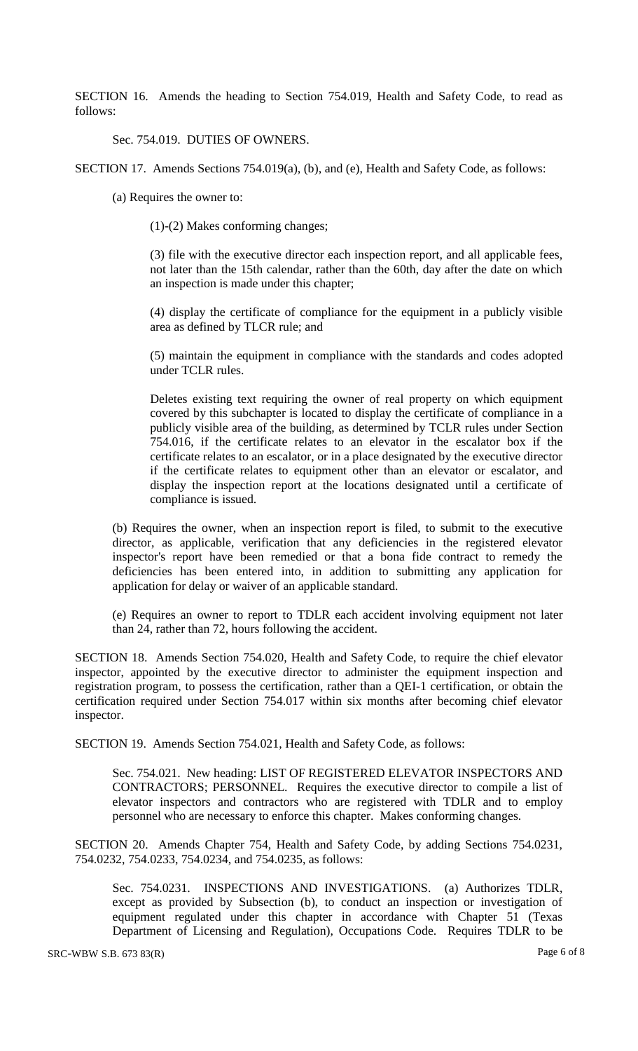SECTION 16. Amends the heading to Section 754.019, Health and Safety Code, to read as follows:

Sec. 754.019. DUTIES OF OWNERS.

SECTION 17. Amends Sections 754.019(a), (b), and (e), Health and Safety Code, as follows:

(a) Requires the owner to:

(1)-(2) Makes conforming changes;

(3) file with the executive director each inspection report, and all applicable fees, not later than the 15th calendar, rather than the 60th, day after the date on which an inspection is made under this chapter;

(4) display the certificate of compliance for the equipment in a publicly visible area as defined by TLCR rule; and

(5) maintain the equipment in compliance with the standards and codes adopted under TCLR rules.

Deletes existing text requiring the owner of real property on which equipment covered by this subchapter is located to display the certificate of compliance in a publicly visible area of the building, as determined by TCLR rules under Section 754.016, if the certificate relates to an elevator in the escalator box if the certificate relates to an escalator, or in a place designated by the executive director if the certificate relates to equipment other than an elevator or escalator, and display the inspection report at the locations designated until a certificate of compliance is issued.

(b) Requires the owner, when an inspection report is filed, to submit to the executive director, as applicable, verification that any deficiencies in the registered elevator inspector's report have been remedied or that a bona fide contract to remedy the deficiencies has been entered into, in addition to submitting any application for application for delay or waiver of an applicable standard.

(e) Requires an owner to report to TDLR each accident involving equipment not later than 24, rather than 72, hours following the accident.

SECTION 18. Amends Section 754.020, Health and Safety Code, to require the chief elevator inspector, appointed by the executive director to administer the equipment inspection and registration program, to possess the certification, rather than a QEI-1 certification, or obtain the certification required under Section 754.017 within six months after becoming chief elevator inspector.

SECTION 19. Amends Section 754.021, Health and Safety Code, as follows:

Sec. 754.021. New heading: LIST OF REGISTERED ELEVATOR INSPECTORS AND CONTRACTORS; PERSONNEL. Requires the executive director to compile a list of elevator inspectors and contractors who are registered with TDLR and to employ personnel who are necessary to enforce this chapter. Makes conforming changes.

SECTION 20. Amends Chapter 754, Health and Safety Code, by adding Sections 754.0231, 754.0232, 754.0233, 754.0234, and 754.0235, as follows:

Sec. 754.0231. INSPECTIONS AND INVESTIGATIONS. (a) Authorizes TDLR, except as provided by Subsection (b), to conduct an inspection or investigation of equipment regulated under this chapter in accordance with Chapter 51 (Texas Department of Licensing and Regulation), Occupations Code. Requires TDLR to be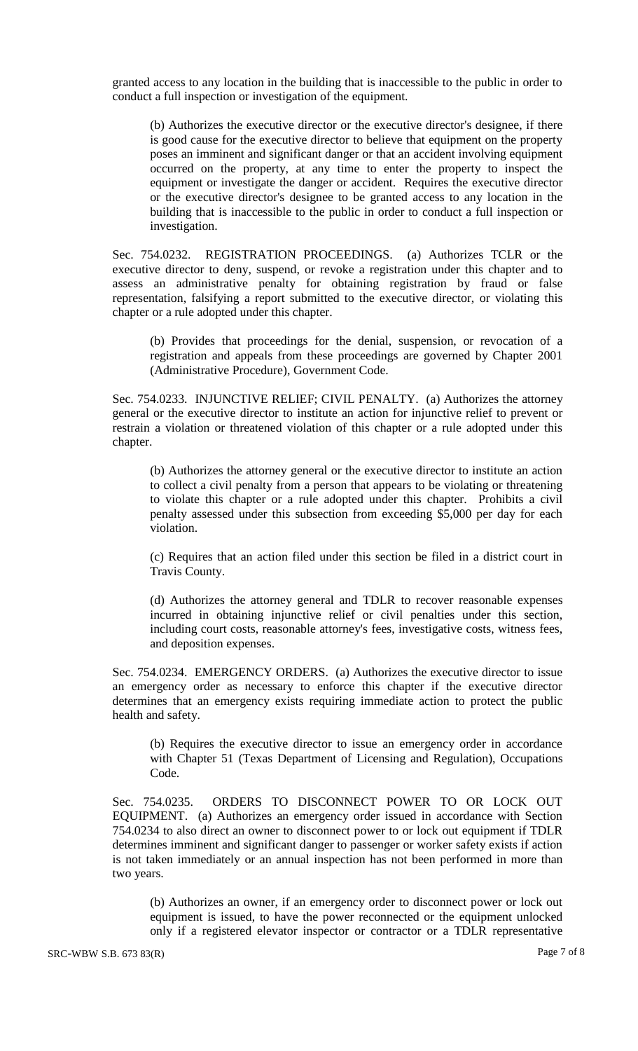granted access to any location in the building that is inaccessible to the public in order to conduct a full inspection or investigation of the equipment.

(b) Authorizes the executive director or the executive director's designee, if there is good cause for the executive director to believe that equipment on the property poses an imminent and significant danger or that an accident involving equipment occurred on the property, at any time to enter the property to inspect the equipment or investigate the danger or accident. Requires the executive director or the executive director's designee to be granted access to any location in the building that is inaccessible to the public in order to conduct a full inspection or investigation.

Sec. 754.0232. REGISTRATION PROCEEDINGS. (a) Authorizes TCLR or the executive director to deny, suspend, or revoke a registration under this chapter and to assess an administrative penalty for obtaining registration by fraud or false representation, falsifying a report submitted to the executive director, or violating this chapter or a rule adopted under this chapter.

(b) Provides that proceedings for the denial, suspension, or revocation of a registration and appeals from these proceedings are governed by Chapter 2001 (Administrative Procedure), Government Code.

Sec. 754.0233. INJUNCTIVE RELIEF; CIVIL PENALTY. (a) Authorizes the attorney general or the executive director to institute an action for injunctive relief to prevent or restrain a violation or threatened violation of this chapter or a rule adopted under this chapter.

(b) Authorizes the attorney general or the executive director to institute an action to collect a civil penalty from a person that appears to be violating or threatening to violate this chapter or a rule adopted under this chapter. Prohibits a civil penalty assessed under this subsection from exceeding \$5,000 per day for each violation.

(c) Requires that an action filed under this section be filed in a district court in Travis County.

(d) Authorizes the attorney general and TDLR to recover reasonable expenses incurred in obtaining injunctive relief or civil penalties under this section, including court costs, reasonable attorney's fees, investigative costs, witness fees, and deposition expenses.

Sec. 754.0234. EMERGENCY ORDERS. (a) Authorizes the executive director to issue an emergency order as necessary to enforce this chapter if the executive director determines that an emergency exists requiring immediate action to protect the public health and safety.

(b) Requires the executive director to issue an emergency order in accordance with Chapter 51 (Texas Department of Licensing and Regulation), Occupations Code.

Sec. 754.0235. ORDERS TO DISCONNECT POWER TO OR LOCK OUT EQUIPMENT. (a) Authorizes an emergency order issued in accordance with Section 754.0234 to also direct an owner to disconnect power to or lock out equipment if TDLR determines imminent and significant danger to passenger or worker safety exists if action is not taken immediately or an annual inspection has not been performed in more than two years.

(b) Authorizes an owner, if an emergency order to disconnect power or lock out equipment is issued, to have the power reconnected or the equipment unlocked only if a registered elevator inspector or contractor or a TDLR representative